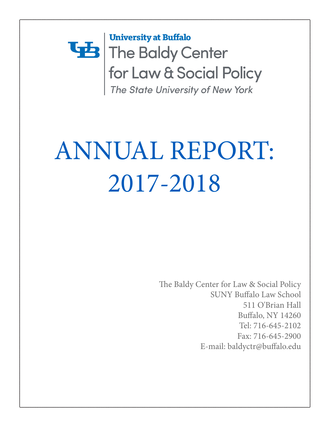## **University at Buffalo** The Baldy Center for Law & Social Policy The State University of New York

# ANNUAL REPORT: 2017-2018

The Baldy Center for Law & Social Policy SUNY Buffalo Law School 511 O'Brian Hall Buffalo, NY 14260 Tel: 716-645-2102 Fax: 716-645-2900 E-mail: baldyctr@buffalo.edu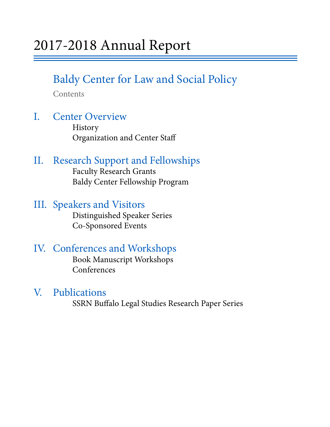## Baldy Center for Law and Social Policy

Contents

## I. Center Overview History

Organization and Center Staff

## II. Research Support and Fellowships Faculty Research Grants

Baldy Center Fellowship Program

## III. Speakers and Visitors<br>Distinguished Speaker Series

Co-Sponsored Events

## IV. Conferences and Workshops Book Manuscript Workshops

Conferences

V. Publications<br>SSRN Buffalo Legal Studies Research Paper Series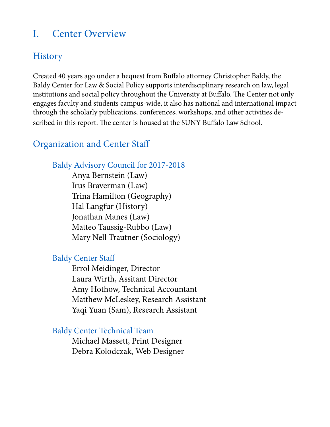## I. Center Overview

## **History**

Created 40 years ago under a bequest from Buffalo attorney Christopher Baldy, the Baldy Center for Law & Social Policy supports interdisciplinary research on law, legal institutions and social policy throughout the University at Buffalo. The Center not only engages faculty and students campus-wide, it also has national and international impact through the scholarly publications, conferences, workshops, and other activities described in this report. The center is housed at the SUNY Buffalo Law School.

## Organization and Center Staff

### Baldy Advisory Council for 2017-2018

 Anya Bernstein (Law) Irus Braverman (Law) Trina Hamilton (Geography) Hal Langfur (History) Jonathan Manes (Law) Matteo Taussig-Rubbo (Law) Mary Nell Trautner (Sociology)

### Baldy Center Staff

 Errol Meidinger, Director Laura Wirth, Assitant Director Amy Hothow, Technical Accountant Matthew McLeskey, Research Assistant Yaqi Yuan (Sam), Research Assistant

### Baldy Center Technical Team

 Michael Massett, Print Designer Debra Kolodczak, Web Designer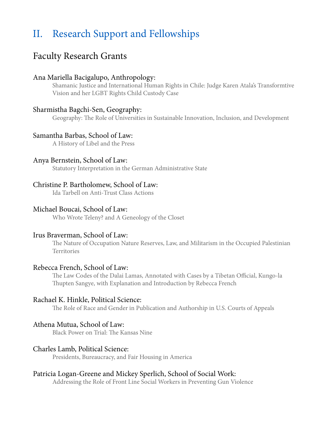## II. Research Support and Fellowships

## Faculty Research Grants

#### Ana Mariella Bacigalupo, Anthropology:

Shamanic Justice and International Human Rights in Chile: Judge Karen Atala's Transformtive Vision and her LGBT Rights Child Custody Case

#### Sharmistha Bagchi-Sen, Geography:

Geography: The Role of Universities in Sustainable Innovation, Inclusion, and Development

#### Samantha Barbas, School of Law:

A History of Libel and the Press

#### Anya Bernstein, School of Law:

Statutory Interpretation in the German Administrative State

#### Christine P. Bartholomew, School of Law:

Ida Tarbell on Anti-Trust Class Actions

#### Michael Boucai, School of Law:

Who Wrote Teleny? and A Geneology of the Closet

#### Irus Braverman, School of Law:

The Nature of Occupation Nature Reserves, Law, and Militarism in the Occupied Palestinian Territories

#### Rebecca French, School of Law:

The Law Codes of the Dalai Lamas, Annotated with Cases by a Tibetan Official, Kungo-la Thupten Sangye, with Explanation and Introduction by Rebecca French

#### Rachael K. Hinkle, Political Science:

The Role of Race and Gender in Publication and Authorship in U.S. Courts of Appeals

#### Athena Mutua, School of Law:

Black Power on Trial: The Kansas Nine

#### Charles Lamb, Political Science:

Presidents, Bureaucracy, and Fair Housing in America

#### Patricia Logan-Greene and Mickey Sperlich, School of Social Work:

Addressing the Role of Front Line Social Workers in Preventing Gun Violence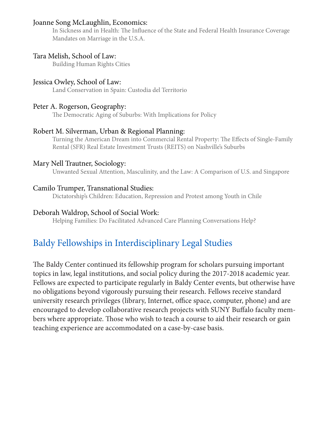#### Joanne Song McLaughlin, Economics:

In Sickness and in Health: The Influence of the State and Federal Health Insurance Coverage Mandates on Marriage in the U.S.A.

#### Tara Melish, School of Law:

Building Human Rights Cities

#### Jessica Owley, School of Law:

Land Conservation in Spain: Custodia del Territorio

#### Peter A. Rogerson, Geography:

The Democratic Aging of Suburbs: With Implications for Policy

#### Robert M. Silverman, Urban & Regional Planning:

Turning the American Dream into Commercial Rental Property: The Effects of Single-Family Rental (SFR) Real Estate Investment Trusts (REITS) on Nashville's Suburbs

#### Mary Nell Trautner, Sociology:

Unwanted Sexual Attention, Masculinity, and the Law: A Comparison of U.S. and Singapore

#### Camilo Trumper, Transnational Studies:

Dictatorship's Children: Education, Repression and Protest among Youth in Chile

#### Deborah Waldrop, School of Social Work:

Helping Families: Do Facilitated Advanced Care Planning Conversations Help?

## Baldy Fellowships in Interdisciplinary Legal Studies

The Baldy Center continued its fellowship program for scholars pursuing important topics in law, legal institutions, and social policy during the 2017-2018 academic year. Fellows are expected to participate regularly in Baldy Center events, but otherwise have no obligations beyond vigorously pursuing their research. Fellows receive standard university research privileges (library, Internet, office space, computer, phone) and are encouraged to develop collaborative research projects with SUNY Buffalo faculty members where appropriate. Those who wish to teach a course to aid their research or gain teaching experience are accommodated on a case-by-case basis.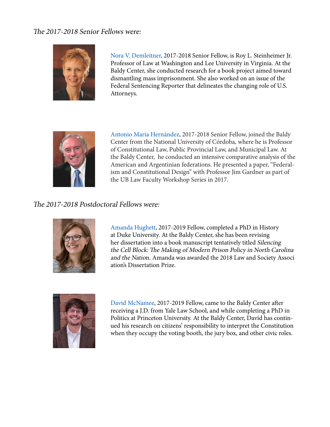#### The 2017-2018 Senior Fellows were:



Nora V. Demleitner, 2017-2018 Senior Fellow, is Roy L. Steinheimer Jr. Professor of Law at Washington and Lee University in Virginia. At the Baldy Center, she conducted research for a book project aimed toward dismantling mass imprisonment. She also worked on an issue of the Federal Sentencing Reporter that delineates the changing role of U.S. Attorneys.



 Antonio María Hernández, 2017-2018 Senior Fellow, joined the Baldy Center from the National University of Córdoba, where he is Professor of Constitutional Law, Public Provincial Law, and Municipal Law. At the Baldy Center, he conducted an intensive comparative analysis of the American and Argentinian federations. He presented a paper, "Federal ism and Constitutional Design" with Professor Jim Gardner as part of the UB Law Faculty Workshop Series in 2017.

#### The 2017-2018 Postdoctoral Fellows were:



Amanda Hughett, 2017-2019 Fellow, completed a PhD in History at Duke University. At the Baldy Center, she has been revising her dissertation into a book manuscript tentatively titled Silencing the Cell Block: The Making of Modern Prison Policy in North Carolina and the Nation. Amanda was awarded the 2018 Law and Society Associ ation's Dissertation Prize.



David McNamee, 2017-2019 Fellow, came to the Baldy Center after receiving a J.D. from Yale Law School, and while completing a PhD in Politics at Princeton University. At the Baldy Center, David has contin ued his research on citizens' responsibility to interpret the Constitution when they occupy the voting booth, the jury box, and other civic roles.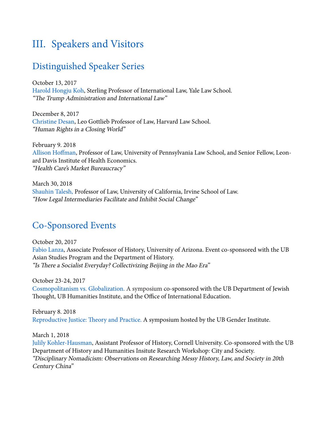## III. Speakers and Visitors

## Distinguished Speaker Series

October 13, 2017 Harold Hongju Koh, Sterling Professor of International Law, Yale Law School. "The Trump Administration and International Law"

December 8, 2017 Christine Desan, Leo Gottlieb Professor of Law, Harvard Law School. "Human Rights in a Closing World"

February 9. 2018 Allison Hoffman, Professor of Law, University of Pennsylvania Law School, and Senior Fellow, Leonard Davis Institute of Health Economics. "Health Care's Market Bureaucracy"

March 30, 2018 Shauhin Talesh, Professor of Law, University of California, Irvine School of Law. "How Legal Intermediaries Facilitate and Inhibit Social Change"

## Co-Sponsored Events

October 20, 2017 Fabio Lanza, Associate Professor of History, University of Arizona. Event co-sponsored with the UB Asian Studies Program and the Department of History. "Is There a Socialist Everyday? Collectivizing Beijing in the Mao Era"

October 23-24, 2017 Cosmopolitanism vs. Globalization. A symposium co-sponsored with the UB Department of Jewish Thought, UB Humanities Institute, and the Office of International Education.

February 8. 2018 Reproductive Justice: Theory and Practice. A symposium hosted by the UB Gender Institute.

March 1, 2018

Julily Kohler-Hausman, Assistant Professor of History, Cornell University. Co-sponsored with the UB Department of History and Humanities Insitute Research Workshop: City and Society. "Disciplinary Nomadicism: Observations on Researching Messy History, Law, and Society in 20th Century China"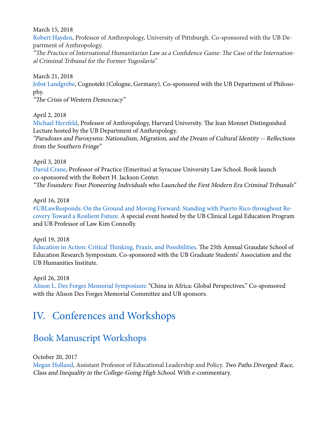March 15, 2018

Robert Hayden, Professor of Anthropology, University of Pittsburgh. Co-sponsored with the UB Department of Anthropology.

"The Practice of International Humanitarian Law as a Confidence Game: The Case of the International Criminal Tribunal for the Former Yugoslavia"

March 21, 2018

Jobst Landgrebe, Cognotekt (Cologne, Germany). Co-sponsored with the UB Department of Philosophy.

"The Crisis of Western Democracy"

April 2, 2018

Michael Herzfeld, Professor of Anthropology, Harvard University. The Jean Monnet Distinguished Lecture hosted by the UB Department of Anthropology.

"Paradoxes and Paroxysms: Nationalism, Migration, and the Dream of Cultural Identity -- Reflections from the Southern Fringe"

April 3, 2018

David Crane, Professor of Practice (Emeritus) at Syracuse University Law School. Book launch co-sponsored with the Robert H. Jackson Center. "The Founders: Four Pioneering Individuals who Launched the First Modern Era Criminal Tribunals"

April 16, 2018

#UBLawResponds: On the Ground and Moving Forward: Standing with Puerto Rico throughout Recovery Toward a Resilient Future. A special event hosted by the UB Clinical Legal Education Program and UB Professor of Law Kim Connolly.

April 19, 2018

Education in Action: Critical Thinking, Praxis, and Possibilities. The 25th Annual Graudate School of Education Research Symposium. Co-sponsored with the UB Graduate Students' Association and the UB Humanities Institute.

April 26, 2018

Alison L. Des Forges Memorial Symposium: "China in Africa: Global Perspectives." Co-sponsored with the Alison Des Forges Memorial Committee and UB sponsors.

## IV. Conferences and Workshops

## Book Manuscript Workshops

October 20, 2017

Megan Holland, Assistant Professor of Educational Leadership and Policy. Two Paths Diverged: Race, Class and Inequality in the College-Going High School. With e-commentary.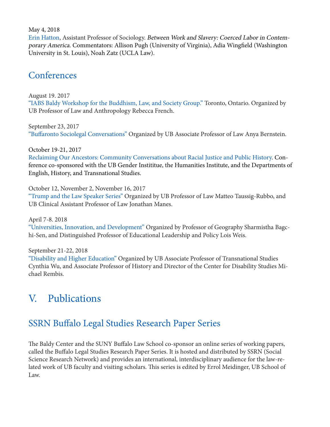May 4, 2018

Erin Hatton, Assistant Professor of Sociology. Between Work and Slavery: Coerced Labor in Contemporary America. Commentators: Allison Pugh (University of Virginia), Adia Wingfield (Washington University in St. Louis), Noah Zatz (UCLA Law).

### **Conferences**

August 19. 2017 "IABS Baldy Workshop for the Buddhism, Law, and Society Group." Toronto, Ontario. Organized by UB Professor of Law and Anthropology Rebecca French.

September 23, 2017 "Buffaronto Sociolegal Conversations" Organized by UB Associate Professor of Law Anya Bernstein.

October 19-21, 2017 Reclaiming Our Ancestors: Community Conversations about Racial Justice and Public History. Conference co-sponsored with the UB Gender Instititue, the Humanities Institute, and the Departments of English, History, and Transnational Studies.

October 12, November 2, November 16, 2017

"Trump and the Law Speaker Series" Organized by UB Professor of Law Matteo Taussig-Rubbo, and UB Clinical Assistant Professor of Law Jonathan Manes.

April 7-8. 2018

"Universities, Innovation, and Development" Organized by Professor of Geography Sharmistha Bagchi-Sen, and Distinguished Professor of Educational Leadership and Policy Lois Weis.

September 21-22, 2018

"Disability and Higher Education" Organized by UB Associate Professor of Transnational Studies Cynthia Wu, and Associate Professor of History and Director of the Center for Disability Studies Michael Rembis.

## V. Publications

## SSRN Buffalo Legal Studies Research Paper Series

The Baldy Center and the SUNY Buffalo Law School co-sponsor an online series of working papers, called the Buffalo Legal Studies Research Paper Series. It is hosted and distributed by SSRN (Social Science Research Network) and provides an international, interdisciplinary audience for the law-related work of UB faculty and visiting scholars. This series is edited by Errol Meidinger, UB School of Law.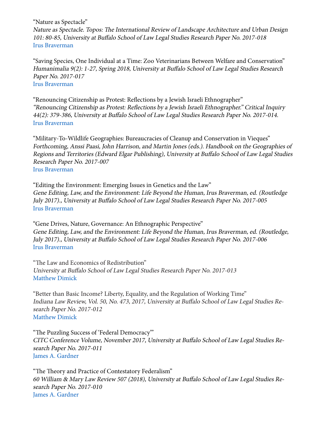"Nature as Spectacle"

Nature as Spectacle. Topos: The International Review of Landscape Architecture and Urban Design 101: 80-85, University at Buffalo School of Law Legal Studies Research Paper No. 2017-018 Irus Braverman

"Saving Species, One Individual at a Time: Zoo Veterinarians Between Welfare and Conservation" Humanimalia 9(2): 1-27, Spring 2018, University at Buffalo School of Law Legal Studies Research Paper No. 2017-017 Irus Braverman

"Renouncing Citizenship as Protest: Reflections by a Jewish Israeli Ethnographer" "Renouncing Citizenship as Protest: Reflections by a Jewish Israeli Ethnographer." Critical Inquiry 44(2): 379-386, University at Buffalo School of Law Legal Studies Research Paper No. 2017-014. Irus Braverman

"Military-To-Wildlife Geographies: Bureaucracies of Cleanup and Conservation in Vieques" Forthcoming, Anssi Paasi, John Harrison, and Martin Jones (eds.). Handbook on the Geographies of Regions and Territories (Edward Elgar Publishing), University at Buffalo School of Law Legal Studies Research Paper No. 2017-007 Irus Braverman

"Editing the Environment: Emerging Issues in Genetics and the Law" Gene Editing, Law, and the Environment: Life Beyond the Human, Irus Braverman, ed. (Routledge July 2017)., University at Buffalo School of Law Legal Studies Research Paper No. 2017-005 Irus Braverman

"Gene Drives, Nature, Governance: An Ethnographic Perspective" Gene Editing, Law, and the Environment: Life Beyond the Human, Irus Braverman, ed. (Routledge, July 2017)., University at Buffalo School of Law Legal Studies Research Paper No. 2017-006 Irus Braverman

"The Law and Economics of Redistribution" University at Buffalo School of Law Legal Studies Research Paper No. 2017-013 Matthew Dimick

"Better than Basic Income? Liberty, Equality, and the Regulation of Working Time" Indiana Law Review, Vol. 50, No. 473, 2017, University at Buffalo School of Law Legal Studies Research Paper No. 2017-012 Matthew Dimick

"The Puzzling Success of 'Federal Democracy'" CITC Conference Volume, November 2017, University at Buffalo School of Law Legal Studies Research Paper No. 2017-011 James A. Gardner

"The Theory and Practice of Contestatory Federalism" 60 William & Mary Law Review 507 (2018), University at Buffalo School of Law Legal Studies Research Paper No. 2017-010 James A. Gardner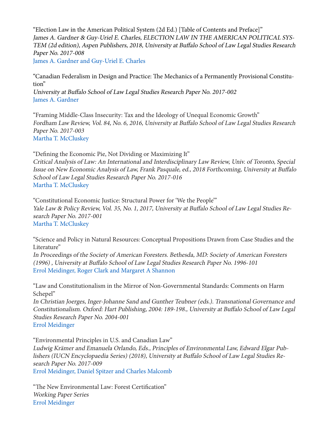"Election Law in the American Political System (2d Ed.) [Table of Contents and Preface]" James A. Gardner & Guy-Uriel E. Charles, ELECTION LAW IN THE AMERICAN POLITICAL SYS-TEM (2d edition), Aspen Publishers, 2018, University at Buffalo School of Law Legal Studies Research Paper No. 2017-008 James A. Gardner and Guy-Uriel E. Charles

"Canadian Federalism in Design and Practice: The Mechanics of a Permanently Provisional Constitution"

University at Buffalo School of Law Legal Studies Research Paper No. 2017-002 James A. Gardner

"Framing Middle-Class Insecurity: Tax and the Ideology of Unequal Economic Growth" Fordham Law Review, Vol. 84, No. 6, 2016, University at Buffalo School of Law Legal Studies Research Paper No. 2017-003 Martha T. McCluskey

"Defining the Economic Pie, Not Dividing or Maximizing It" Critical Analysis of Law: An International and Interdisciplinary Law Review, Univ. of Toronto, Special Issue on New Economic Analysis of Law, Frank Pasquale, ed., 2018 Forthcoming, University at Buffalo School of Law Legal Studies Research Paper No. 2017-016 Martha T. McCluskey

"Constitutional Economic Justice: Structural Power for 'We the People'" Yale Law & Policy Review, Vol. 35, No. 1, 2017, University at Buffalo School of Law Legal Studies Research Paper No. 2017-001 Martha T. McCluskey

"Science and Policy in Natural Resources: Conceptual Propositions Drawn from Case Studies and the Literature"

In Proceedings of the Society of American Foresters. Bethesda, MD: Society of American Foresters (1996) , University at Buffalo School of Law Legal Studies Research Paper No. 1996-101 Errol Meidinger, Roger Clark and Margaret A Shannon

"Law and Constitutionalism in the Mirror of Non-Governmental Standards: Comments on Harm Schepel"

In Christian Joerges, Inger-Johanne Sand and Gunther Teubner (eds.). Transnational Governance and Constitutionalism. Oxford: Hart Publishing, 2004: 189-198., University at Buffalo School of Law Legal Studies Research Paper No. 2004-001 Errol Meidinger

"Environmental Principles in U.S. and Canadian Law"

Ludwig Krämer and Emanuela Orlando, Eds., Principles of Environmental Law, Edward Elgar Publishers (IUCN Encyclopaedia Series) (2018), University at Buffalo School of Law Legal Studies Research Paper No. 2017-009

Errol Meidinger, Daniel Spitzer and Charles Malcomb

"The New Environmental Law: Forest Certification" Working Paper Series Errol Meidinger